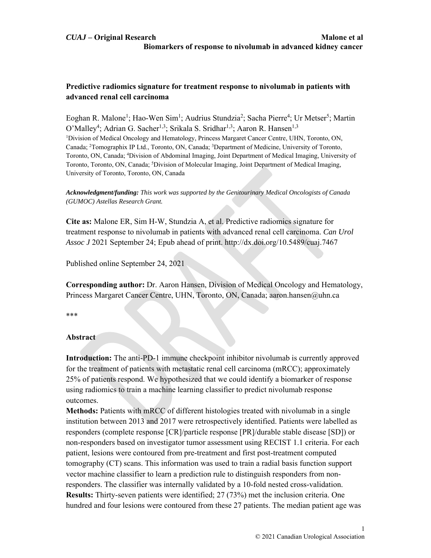# **Predictive radiomics signature for treatment response to nivolumab in patients with advanced renal cell carcinoma**

Eoghan R. Malone<sup>1</sup>; Hao-Wen Sim<sup>1</sup>; Audrius Stundzia<sup>2</sup>; Sacha Pierre<sup>4</sup>; Ur Metser<sup>5</sup>; Martin O'Malley<sup>4</sup>; Adrian G. Sacher<sup>1,3</sup>; Srikala S. Sridhar<sup>1,3</sup>; Aaron R. Hansen<sup>1,3</sup> <sup>1</sup>Division of Medical Oncology and Hematology, Princess Margaret Cancer Centre, UHN, Toronto, ON, Canada; <sup>2</sup>Tomographix IP Ltd., Toronto, ON, Canada; <sup>3</sup>Department of Medicine, University of Toronto, Toronto, ON, Canada; 4 Division of Abdominal Imaging, Joint Department of Medical Imaging, University of Toronto, Toronto, ON, Canada; <sup>5</sup>Division of Molecular Imaging, Joint Department of Medical Imaging, University of Toronto, Toronto, ON, Canada

#### *Acknowledgment/funding: This work was supported by the Genitourinary Medical Oncologists of Canada (GUMOC) Astellas Research Grant.*

**Cite as:** Malone ER, Sim H-W, Stundzia A, et al. Predictive radiomics signature for treatment response to nivolumab in patients with advanced renal cell carcinoma. *Can Urol Assoc J* 2021 September 24; Epub ahead of print. http://dx.doi.org/10.5489/cuaj.7467

Published online September 24, 2021

**Corresponding author:** Dr. Aaron Hansen, Division of Medical Oncology and Hematology, Princess Margaret Cancer Centre, UHN, Toronto, ON, Canada; aaron.hansen@uhn.ca

\*\*\*

## **Abstract**

**Introduction:** The anti-PD-1 immune checkpoint inhibitor nivolumab is currently approved for the treatment of patients with metastatic renal cell carcinoma (mRCC); approximately 25% of patients respond. We hypothesized that we could identify a biomarker of response using radiomics to train a machine learning classifier to predict nivolumab response outcomes.

**Methods:** Patients with mRCC of different histologies treated with nivolumab in a single institution between 2013 and 2017 were retrospectively identified. Patients were labelled as responders (complete response [CR]/particle response [PR]/durable stable disease [SD]) or non-responders based on investigator tumor assessment using RECIST 1.1 criteria. For each patient, lesions were contoured from pre-treatment and first post-treatment computed tomography (CT) scans. This information was used to train a radial basis function support vector machine classifier to learn a prediction rule to distinguish responders from nonresponders. The classifier was internally validated by a 10-fold nested cross-validation. **Results:** Thirty-seven patients were identified; 27 (73%) met the inclusion criteria. One hundred and four lesions were contoured from these 27 patients. The median patient age was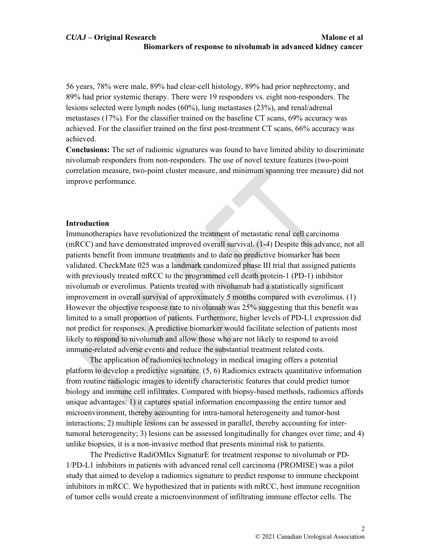56 years, 78% were male, 89% had clear-cell histology, 89% had prior nephrectomy, and 89% had prior systemic therapy. There were 19 responders vs. eight non-responders. The lesions selected were lymph nodes (60%), lung metastases (23%), and renal/adrenal metastases (17%). For the classifier trained on the baseline CT scans, 69% accuracy was achieved. For the classifier trained on the first post-treatment CT scans, 66% accuracy was achieved.

**Conclusions:** The set of radiomic signatures was found to have limited ability to discriminate nivolumab responders from non-responders. The use of novel texture features (two-point correlation measure, two-point cluster measure, and minimum spanning tree measure) did not improve performance.

#### **Introduction**

Immunotherapies have revolutionized the treatment of metastatic renal cell carcinoma (mRCC) and have demonstrated improved overall survival. (1-4) Despite this advance, not all patients benefit from immune treatments and to date no predictive biomarker has been validated. CheckMate 025 was a landmark randomized phase III trial that assigned patients with previously treated mRCC to the programmed cell death protein-1 (PD-1) inhibitor nivolumab or everolimus. Patients treated with nivolumab had a statistically significant improvement in overall survival of approximately 5 months compared with everolimus. (1) However the objective response rate to nivolumab was 25% suggesting that this benefit was limited to a small proportion of patients. Furthermore, higher levels of PD-L1 expression did not predict for responses. A predictive biomarker would facilitate selection of patients most likely to respond to nivolumab and allow those who are not likely to respond to avoid immune-related adverse events and reduce the substantial treatment related costs.

The application of radiomics technology in medical imaging offers a potential platform to develop a predictive signature.  $(5, 6)$  Radiomics extracts quantitative information from routine radiologic images to identify characteristic features that could predict tumor biology and immune cell infiltrates. Compared with biopsy-based methods, radiomics affords unique advantages: 1) it captures spatial information encompassing the entire tumor and microenvironment, thereby accounting for intra-tumoral heterogeneity and tumor-host interactions; 2) multiple lesions can be assessed in parallel, thereby accounting for intertumoral heterogeneity; 3) lesions can be assessed longitudinally for changes over time; and 4) unlike biopsies, it is a non-invasive method that presents minimal risk to patients.

The Predictive RadiOMIcs SignaturE for treatment response to nivolumab or PD-1/PD-L1 inhibitors in patients with advanced renal cell carcinoma (PROMISE) was a pilot study that aimed to develop a radiomics signature to predict response to immune checkpoint inhibitors in mRCC. We hypothesized that in patients with mRCC, host immune recognition of tumor cells would create a microenvironment of infiltrating immune effector cells. The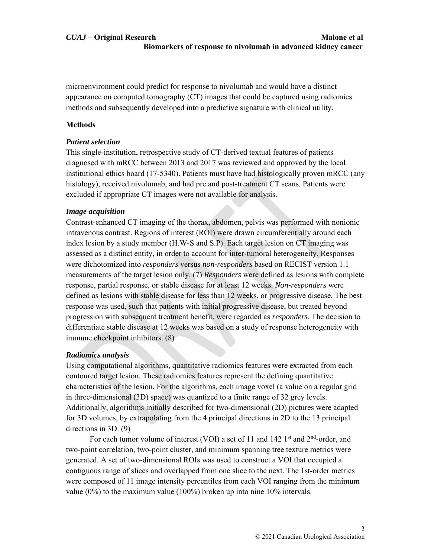microenvironment could predict for response to nivolumab and would have a distinct appearance on computed tomography (CT) images that could be captured using radiomics methods and subsequently developed into a predictive signature with clinical utility.

# **Methods**

# *Patient selection*

This single-institution, retrospective study of CT-derived textual features of patients diagnosed with mRCC between 2013 and 2017 was reviewed and approved by the local institutional ethics board (17-5340). Patients must have had histologically proven mRCC (any histology), received nivolumab, and had pre and post-treatment CT scans. Patients were excluded if appropriate CT images were not available for analysis.

# *Image acquisition*

Contrast-enhanced CT imaging of the thorax, abdomen, pelvis was performed with nonionic intravenous contrast. Regions of interest (ROI) were drawn circumferentially around each index lesion by a study member (H.W-S and S.P). Each target lesion on CT imaging was assessed as a distinct entity, in order to account for inter-tumoral heterogeneity. Responses were dichotomized into *responders* versus *non-responders* based on RECIST version 1.1 measurements of the target lesion only. (7) *Responders* were defined as lesions with complete response, partial response, or stable disease for at least 12 weeks. *Non-responders* were defined as lesions with stable disease for less than 12 weeks, or progressive disease. The best response was used, such that patients with initial progressive disease, but treated beyond progression with subsequent treatment benefit, were regarded as *responders*. The decision to differentiate stable disease at 12 weeks was based on a study of response heterogeneity with immune checkpoint inhibitors. (8)

# *Radiomics analysis*

Using computational algorithms, quantitative radiomics features were extracted from each contoured target lesion. These radiomics features represent the defining quantitative characteristics of the lesion. For the algorithms, each image voxel (a value on a regular grid in three-dimensional (3D) space) was quantized to a finite range of 32 grey levels. Additionally, algorithms initially described for two-dimensional (2D) pictures were adapted for 3D volumes, by extrapolating from the 4 principal directions in 2D to the 13 principal directions in 3D. (9)

For each tumor volume of interest (VOI) a set of 11 and 142  $1<sup>st</sup>$  and  $2<sup>nd</sup>$ -order, and two-point correlation, two-point cluster, and minimum spanning tree texture metrics were generated. A set of two-dimensional ROIs was used to construct a VOI that occupied a contiguous range of slices and overlapped from one slice to the next. The 1st-order metrics were composed of 11 image intensity percentiles from each VOI ranging from the minimum value (0%) to the maximum value (100%) broken up into nine 10% intervals.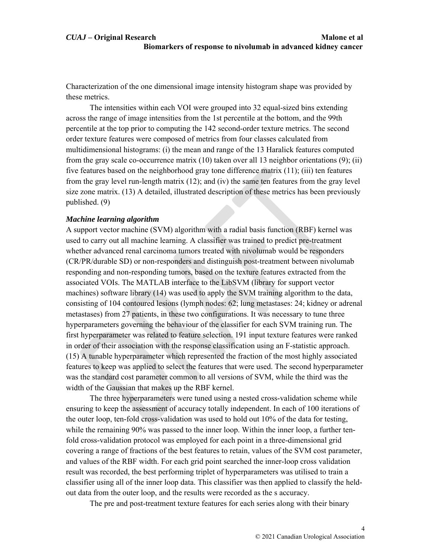Characterization of the one dimensional image intensity histogram shape was provided by these metrics.

The intensities within each VOI were grouped into 32 equal-sized bins extending across the range of image intensities from the 1st percentile at the bottom, and the 99th percentile at the top prior to computing the 142 second-order texture metrics. The second order texture features were composed of metrics from four classes calculated from multidimensional histograms: (i) the mean and range of the 13 Haralick features computed from the gray scale co-occurrence matrix  $(10)$  taken over all 13 neighbor orientations  $(9)$ ; (ii) five features based on the neighborhood gray tone difference matrix (11); (iii) ten features from the gray level run-length matrix (12); and (iv) the same ten features from the gray level size zone matrix. (13) A detailed, illustrated description of these metrics has been previously published. (9)

#### *Machine learning algorithm*

A support vector machine (SVM) algorithm with a radial basis function (RBF) kernel was used to carry out all machine learning. A classifier was trained to predict pre-treatment whether advanced renal carcinoma tumors treated with nivolumab would be responders (CR/PR/durable SD) or non-responders and distinguish post-treatment between nivolumab responding and non-responding tumors, based on the texture features extracted from the associated VOIs. The MATLAB interface to the LibSVM (library for support vector machines) software library (14) was used to apply the SVM training algorithm to the data, consisting of 104 contoured lesions (lymph nodes: 62; lung metastases: 24; kidney or adrenal metastases) from 27 patients, in these two configurations. It was necessary to tune three hyperparameters governing the behaviour of the classifier for each SVM training run. The first hyperparameter was related to feature selection. 191 input texture features were ranked in order of their association with the response classification using an F-statistic approach. (15) A tunable hyperparameter which represented the fraction of the most highly associated features to keep was applied to select the features that were used. The second hyperparameter was the standard cost parameter common to all versions of SVM, while the third was the width of the Gaussian that makes up the RBF kernel.

The three hyperparameters were tuned using a nested cross-validation scheme while ensuring to keep the assessment of accuracy totally independent. In each of 100 iterations of the outer loop, ten-fold cross-validation was used to hold out 10% of the data for testing, while the remaining 90% was passed to the inner loop. Within the inner loop, a further tenfold cross-validation protocol was employed for each point in a three-dimensional grid covering a range of fractions of the best features to retain, values of the SVM cost parameter, and values of the RBF width. For each grid point searched the inner-loop cross validation result was recorded, the best performing triplet of hyperparameters was utilised to train a classifier using all of the inner loop data. This classifier was then applied to classify the heldout data from the outer loop, and the results were recorded as the s accuracy.

The pre and post-treatment texture features for each series along with their binary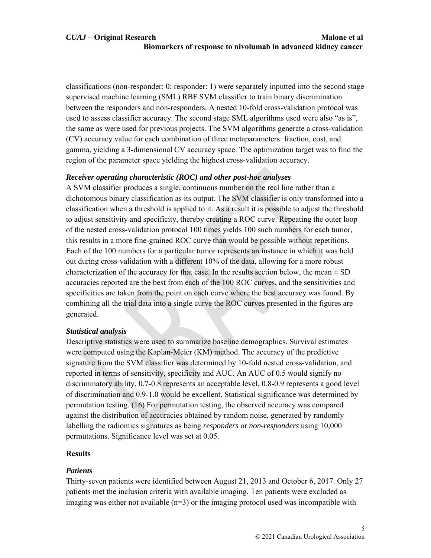classifications (non-responder: 0; responder: 1) were separately inputted into the second stage supervised machine learning (SML) RBF SVM classifier to train binary discrimination between the responders and non-responders. A nested 10-fold cross-validation protocol was used to assess classifier accuracy. The second stage SML algorithms used were also "as is", the same as were used for previous projects. The SVM algorithms generate a cross-validation (CV) accuracy value for each combination of three metaparameters: fraction, cost, and gamma, yielding a 3-dimensional CV accuracy space. The optimization target was to find the region of the parameter space yielding the highest cross-validation accuracy.

## *Receiver operating characteristic (ROC) and other post-hoc analyses*

A SVM classifier produces a single, continuous number on the real line rather than a dichotomous binary classification as its output. The SVM classifier is only transformed into a classification when a threshold is applied to it. As a result it is possible to adjust the threshold to adjust sensitivity and specificity, thereby creating a ROC curve. Repeating the outer loop of the nested cross-validation protocol 100 times yields 100 such numbers for each tumor, this results in a more fine-grained ROC curve than would be possible without repetitions. Each of the 100 numbers for a particular tumor represents an instance in which it was held out during cross-validation with a different 10% of the data, allowing for a more robust characterization of the accuracy for that case. In the results section below, the mean  $\pm$  SD accuracies reported are the best from each of the 100 ROC curves, and the sensitivities and specificities are taken from the point on each curve where the best accuracy was found. By combining all the trial data into a single curve the ROC curves presented in the figures are generated.

## *Statistical analysis*

Descriptive statistics were used to summarize baseline demographics. Survival estimates were computed using the Kaplan-Meier (KM) method. The accuracy of the predictive signature from the SVM classifier was determined by 10-fold nested cross-validation, and reported in terms of sensitivity, specificity and AUC. An AUC of 0.5 would signify no discriminatory ability, 0.7-0.8 represents an acceptable level, 0.8-0.9 represents a good level of discrimination and 0.9-1.0 would be excellent. Statistical significance was determined by permutation testing. (16) For permutation testing, the observed accuracy was compared against the distribution of accuracies obtained by random noise, generated by randomly labelling the radiomics signatures as being *responders* or *non-responders* using 10,000 permutations. Significance level was set at 0.05.

## **Results**

## *Patients*

Thirty-seven patients were identified between August 21, 2013 and October 6, 2017. Only 27 patients met the inclusion criteria with available imaging. Ten patients were excluded as imaging was either not available  $(n=3)$  or the imaging protocol used was incompatible with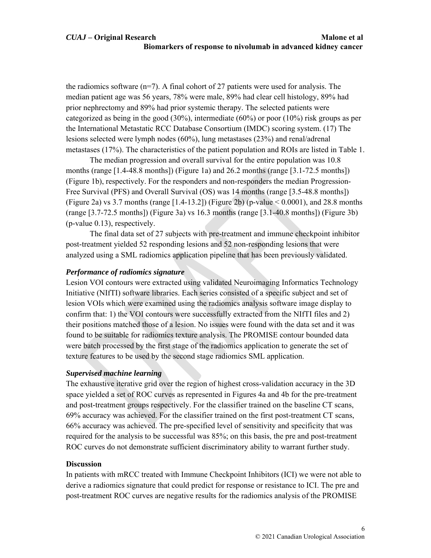# *CUAJ* **– Original Research Malone et al Biomarkers of response to nivolumab in advanced kidney cancer**

the radiomics software  $(n=7)$ . A final cohort of 27 patients were used for analysis. The median patient age was 56 years, 78% were male, 89% had clear cell histology, 89% had prior nephrectomy and 89% had prior systemic therapy. The selected patients were categorized as being in the good  $(30\%)$ , intermediate  $(60\%)$  or poor  $(10\%)$  risk groups as per the International Metastatic RCC Database Consortium (IMDC) scoring system. (17) The lesions selected were lymph nodes (60%), lung metastases (23%) and renal/adrenal metastases (17%). The characteristics of the patient population and ROIs are listed in Table 1.

The median progression and overall survival for the entire population was 10.8 months (range  $[1.4-48.8 \text{ months}]$ ) (Figure 1a) and 26.2 months (range  $[3.1-72.5 \text{ months}]$ ) (Figure 1b), respectively. For the responders and non-responders the median Progression-Free Survival (PFS) and Overall Survival (OS) was 14 months (range [3.5-48.8 months]) (Figure 2a) vs 3.7 months (range  $[1.4-13.2]$ ) (Figure 2b) (p-value  $\leq 0.0001$ ), and 28.8 months (range [3.7-72.5 months]) (Figure 3a) vs 16.3 months (range [3.1-40.8 months]) (Figure 3b) (p-value 0.13), respectively.

The final data set of 27 subjects with pre-treatment and immune checkpoint inhibitor post-treatment yielded 52 responding lesions and 52 non-responding lesions that were analyzed using a SML radiomics application pipeline that has been previously validated.

#### *Performance of radiomics signature*

Lesion VOI contours were extracted using validated Neuroimaging Informatics Technology Initiative (NIfTI) software libraries. Each series consisted of a specific subject and set of lesion VOIs which were examined using the radiomics analysis software image display to confirm that: 1) the VOI contours were successfully extracted from the NIfTI files and 2) their positions matched those of a lesion. No issues were found with the data set and it was found to be suitable for radiomics texture analysis. The PROMISE contour bounded data were batch processed by the first stage of the radiomics application to generate the set of texture features to be used by the second stage radiomics SML application.

## *Supervised machine learning*

The exhaustive iterative grid over the region of highest cross-validation accuracy in the 3D space yielded a set of ROC curves as represented in Figures 4a and 4b for the pre-treatment and post-treatment groups respectively. For the classifier trained on the baseline CT scans, 69% accuracy was achieved. For the classifier trained on the first post-treatment CT scans, 66% accuracy was achieved. The pre-specified level of sensitivity and specificity that was required for the analysis to be successful was 85%; on this basis, the pre and post-treatment ROC curves do not demonstrate sufficient discriminatory ability to warrant further study.

#### **Discussion**

In patients with mRCC treated with Immune Checkpoint Inhibitors (ICI) we were not able to derive a radiomics signature that could predict for response or resistance to ICI. The pre and post-treatment ROC curves are negative results for the radiomics analysis of the PROMISE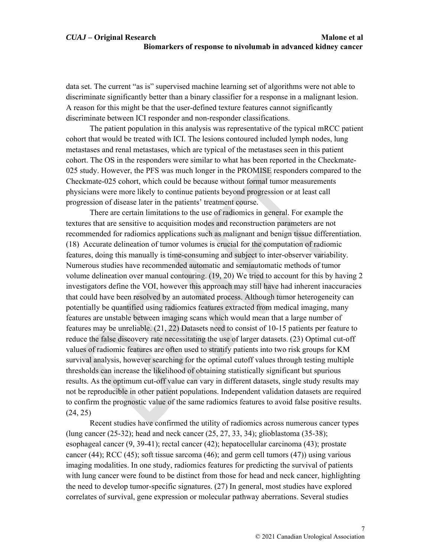data set. The current "as is" supervised machine learning set of algorithms were not able to discriminate significantly better than a binary classifier for a response in a malignant lesion. A reason for this might be that the user-defined texture features cannot significantly discriminate between ICI responder and non-responder classifications.

The patient population in this analysis was representative of the typical mRCC patient cohort that would be treated with ICI. The lesions contoured included lymph nodes, lung metastases and renal metastases, which are typical of the metastases seen in this patient cohort. The OS in the responders were similar to what has been reported in the Checkmate-025 study. However, the PFS was much longer in the PROMISE responders compared to the Checkmate-025 cohort, which could be because without formal tumor measurements physicians were more likely to continue patients beyond progression or at least call progression of disease later in the patients' treatment course.

There are certain limitations to the use of radiomics in general. For example the textures that are sensitive to acquisition modes and reconstruction parameters are not recommended for radiomics applications such as malignant and benign tissue differentiation. (18) Accurate delineation of tumor volumes is crucial for the computation of radiomic features, doing this manually is time-consuming and subject to inter-observer variability. Numerous studies have recommended automatic and semiautomatic methods of tumor volume delineation over manual contouring. (19, 20) We tried to account for this by having 2 investigators define the VOI, however this approach may still have had inherent inaccuracies that could have been resolved by an automated process. Although tumor heterogeneity can potentially be quantified using radiomics features extracted from medical imaging, many features are unstable between imaging scans which would mean that a large number of features may be unreliable. (21, 22) Datasets need to consist of 10-15 patients per feature to reduce the false discovery rate necessitating the use of larger datasets. (23) Optimal cut-off values of radiomic features are often used to stratify patients into two risk groups for KM survival analysis, however searching for the optimal cutoff values through testing multiple thresholds can increase the likelihood of obtaining statistically significant but spurious results. As the optimum cut-off value can vary in different datasets, single study results may not be reproducible in other patient populations. Independent validation datasets are required to confirm the prognostic value of the same radiomics features to avoid false positive results. (24, 25)

Recent studies have confirmed the utility of radiomics across numerous cancer types (lung cancer (25-32); head and neck cancer (25, 27, 33, 34); glioblastoma (35-38); esophageal cancer (9, 39-41); rectal cancer (42); hepatocellular carcinoma (43); prostate cancer  $(44)$ ; RCC  $(45)$ ; soft tissue sarcoma  $(46)$ ; and germ cell tumors  $(47)$ ) using various imaging modalities. In one study, radiomics features for predicting the survival of patients with lung cancer were found to be distinct from those for head and neck cancer, highlighting the need to develop tumor-specific signatures. (27) In general, most studies have explored correlates of survival, gene expression or molecular pathway aberrations. Several studies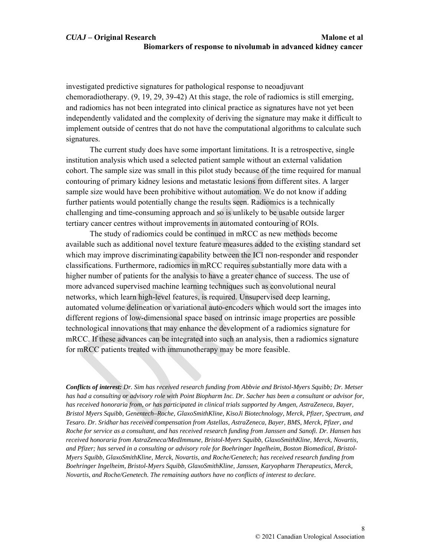## *CUAJ* **– Original Research Malone et al Biomarkers of response to nivolumab in advanced kidney cancer**

investigated predictive signatures for pathological response to neoadjuvant chemoradiotherapy. (9, 19, 29, 39-42) At this stage, the role of radiomics is still emerging, and radiomics has not been integrated into clinical practice as signatures have not yet been independently validated and the complexity of deriving the signature may make it difficult to implement outside of centres that do not have the computational algorithms to calculate such signatures.

The current study does have some important limitations. It is a retrospective, single institution analysis which used a selected patient sample without an external validation cohort. The sample size was small in this pilot study because of the time required for manual contouring of primary kidney lesions and metastatic lesions from different sites. A larger sample size would have been prohibitive without automation. We do not know if adding further patients would potentially change the results seen. Radiomics is a technically challenging and time-consuming approach and so is unlikely to be usable outside larger tertiary cancer centres without improvements in automated contouring of ROIs.

The study of radiomics could be continued in mRCC as new methods become available such as additional novel texture feature measures added to the existing standard set which may improve discriminating capability between the ICI non-responder and responder classifications. Furthermore, radiomics in mRCC requires substantially more data with a higher number of patients for the analysis to have a greater chance of success. The use of more advanced supervised machine learning techniques such as convolutional neural networks, which learn high-level features, is required. Unsupervised deep learning, automated volume delineation or variational auto-encoders which would sort the images into different regions of low-dimensional space based on intrinsic image properties are possible technological innovations that may enhance the development of a radiomics signature for mRCC. If these advances can be integrated into such an analysis, then a radiomics signature for mRCC patients treated with immunotherapy may be more feasible.

*Conflicts of interest: Dr. Sim has received research funding from Abbvie and Bristol-Myers Squibb; Dr. Metser has had a consulting or advisory role with Point Biopharm Inc. Dr. Sacher has been a consultant or advisor for, has received honoraria from, or has participated in clinical trials supported by Amgen, AstraZeneca, Bayer, Bristol Myers Squibb, Genentech–Roche, GlaxoSmithKline, KisoJi Biotechnology, Merck, Pfizer, Spectrum, and Tesaro. Dr. Sridhar has received compensation from Astellas, AstraZeneca, Bayer, BMS, Merck, Pfizer, and Roche for service as a consultant, and has received research funding from Janssen and Sanofi. Dr. Hansen has received honoraria from AstraZeneca/MedImmune, Bristol-Myers Squibb, GlaxoSmithKline, Merck, Novartis, and Pfizer; has served in a consulting or advisory role for Boehringer Ingelheim, Boston Biomedical, Bristol-Myers Squibb, GlaxoSmithKline, Merck, Novartis, and Roche/Genetech; has received research funding from Boehringer Ingelheim, Bristol-Myers Squibb, GlaxoSmithKline, Janssen, Karyopharm Therapeutics, Merck, Novartis, and Roche/Genetech. The remaining authors have no conflicts of interest to declare.*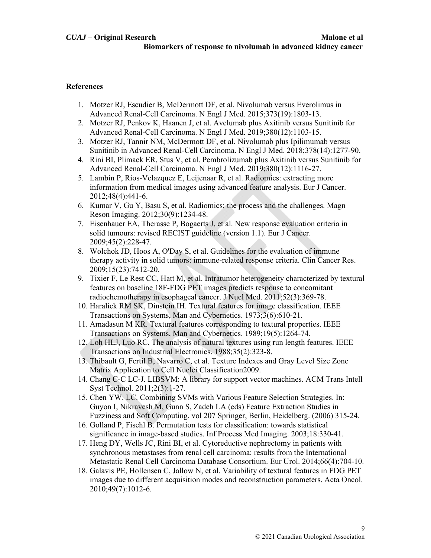# **References**

- 1. Motzer RJ, Escudier B, McDermott DF, et al. Nivolumab versus Everolimus in Advanced Renal-Cell Carcinoma. N Engl J Med. 2015;373(19):1803-13.
- 2. Motzer RJ, Penkov K, Haanen J, et al. Avelumab plus Axitinib versus Sunitinib for Advanced Renal-Cell Carcinoma. N Engl J Med. 2019;380(12):1103-15.
- 3. Motzer RJ, Tannir NM, McDermott DF, et al. Nivolumab plus Ipilimumab versus Sunitinib in Advanced Renal-Cell Carcinoma. N Engl J Med. 2018;378(14):1277-90.
- 4. Rini BI, Plimack ER, Stus V, et al. Pembrolizumab plus Axitinib versus Sunitinib for Advanced Renal-Cell Carcinoma. N Engl J Med. 2019;380(12):1116-27.
- 5. Lambin P, Rios-Velazquez E, Leijenaar R, et al. Radiomics: extracting more information from medical images using advanced feature analysis. Eur J Cancer. 2012;48(4):441-6.
- 6. Kumar V, Gu Y, Basu S, et al. Radiomics: the process and the challenges. Magn Reson Imaging. 2012;30(9):1234-48.
- 7. Eisenhauer EA, Therasse P, Bogaerts J, et al. New response evaluation criteria in solid tumours: revised RECIST guideline (version 1.1). Eur J Cancer. 2009;45(2):228-47.
- 8. Wolchok JD, Hoos A, O'Day S, et al. Guidelines for the evaluation of immune therapy activity in solid tumors: immune-related response criteria. Clin Cancer Res. 2009;15(23):7412-20.
- 9. Tixier F, Le Rest CC, Hatt M, et al. Intratumor heterogeneity characterized by textural features on baseline 18F-FDG PET images predicts response to concomitant radiochemotherapy in esophageal cancer. J Nucl Med. 2011;52(3):369-78.
- 10. Haralick RM SK, Dinstein IH. Textural features for image classification. IEEE Transactions on Systems, Man and Cybernetics. 1973;3(6):610-21.
- 11. Amadasun M KR. Textural features corresponding to textural properties. IEEE Transactions on Systems, Man and Cybernetics. 1989;19(5):1264-74.
- 12. Loh HLJ, Luo RC. The analysis of natural textures using run length features. IEEE Transactions on Industrial Electronics. 1988;35(2):323-8.
- 13. Thibault G, Fertil B, Navarro C, et al. Texture Indexes and Gray Level Size Zone Matrix Application to Cell Nuclei Classification2009.
- 14. Chang C-C LC-J. LIBSVM: A library for support vector machines. ACM Trans Intell Syst Technol. 2011;2(3):1-27.
- 15. Chen YW. LC. Combining SVMs with Various Feature Selection Strategies. In: Guyon I, Nikravesh M, Gunn S, Zadeh LA (eds) Feature Extraction Studies in Fuzziness and Soft Computing, vol 207 Springer, Berlin, Heidelberg. (2006) 315-24.
- 16. Golland P, Fischl B. Permutation tests for classification: towards statistical significance in image-based studies. Inf Process Med Imaging. 2003;18:330-41.
- 17. Heng DY, Wells JC, Rini BI, et al. Cytoreductive nephrectomy in patients with synchronous metastases from renal cell carcinoma: results from the International Metastatic Renal Cell Carcinoma Database Consortium. Eur Urol. 2014;66(4):704-10.
- 18. Galavis PE, Hollensen C, Jallow N, et al. Variability of textural features in FDG PET images due to different acquisition modes and reconstruction parameters. Acta Oncol. 2010;49(7):1012-6.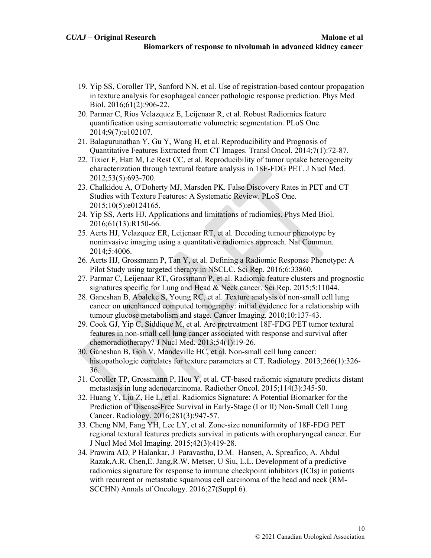- 19. Yip SS, Coroller TP, Sanford NN, et al. Use of registration-based contour propagation in texture analysis for esophageal cancer pathologic response prediction. Phys Med Biol. 2016;61(2):906-22.
- 20. Parmar C, Rios Velazquez E, Leijenaar R, et al. Robust Radiomics feature quantification using semiautomatic volumetric segmentation. PLoS One. 2014;9(7):e102107.
- 21. Balagurunathan Y, Gu Y, Wang H, et al. Reproducibility and Prognosis of Quantitative Features Extracted from CT Images. Transl Oncol. 2014;7(1):72-87.
- 22. Tixier F, Hatt M, Le Rest CC, et al. Reproducibility of tumor uptake heterogeneity characterization through textural feature analysis in 18F-FDG PET. J Nucl Med. 2012;53(5):693-700.
- 23. Chalkidou A, O'Doherty MJ, Marsden PK. False Discovery Rates in PET and CT Studies with Texture Features: A Systematic Review. PLoS One. 2015;10(5):e0124165.
- 24. Yip SS, Aerts HJ. Applications and limitations of radiomics. Phys Med Biol. 2016;61(13):R150-66.
- 25. Aerts HJ, Velazquez ER, Leijenaar RT, et al. Decoding tumour phenotype by noninvasive imaging using a quantitative radiomics approach. Nat Commun. 2014;5:4006.
- 26. Aerts HJ, Grossmann P, Tan Y, et al. Defining a Radiomic Response Phenotype: A Pilot Study using targeted therapy in NSCLC. Sci Rep. 2016;6:33860.
- 27. Parmar C, Leijenaar RT, Grossmann P, et al. Radiomic feature clusters and prognostic signatures specific for Lung and Head & Neck cancer. Sci Rep. 2015;5:11044.
- 28. Ganeshan B, Abaleke S, Young RC, et al. Texture analysis of non-small cell lung cancer on unenhanced computed tomography: initial evidence for a relationship with tumour glucose metabolism and stage. Cancer Imaging. 2010;10:137-43.
- 29. Cook GJ, Yip C, Siddique M, et al. Are pretreatment 18F-FDG PET tumor textural features in non-small cell lung cancer associated with response and survival after chemoradiotherapy? J Nucl Med. 2013;54(1):19-26.
- 30. Ganeshan B, Goh V, Mandeville HC, et al. Non-small cell lung cancer: histopathologic correlates for texture parameters at CT. Radiology. 2013;266(1):326- 36.
- 31. Coroller TP, Grossmann P, Hou Y, et al. CT-based radiomic signature predicts distant metastasis in lung adenocarcinoma. Radiother Oncol. 2015;114(3):345-50.
- 32. Huang Y, Liu Z, He L, et al. Radiomics Signature: A Potential Biomarker for the Prediction of Disease-Free Survival in Early-Stage (I or II) Non-Small Cell Lung Cancer. Radiology. 2016;281(3):947-57.
- 33. Cheng NM, Fang YH, Lee LY, et al. Zone-size nonuniformity of 18F-FDG PET regional textural features predicts survival in patients with oropharyngeal cancer. Eur J Nucl Med Mol Imaging. 2015;42(3):419-28.
- 34. Prawira AD, P Halankar, J Paravasthu, D.M. Hansen, A. Spreafico, A. Abdul Razak,A.R. Chen,E. Jang,R.W. Metser, U Siu, L.L. Development of a predictive radiomics signature for response to immune checkpoint inhibitors (ICIs) in patients with recurrent or metastatic squamous cell carcinoma of the head and neck (RM-SCCHN) Annals of Oncology. 2016;27(Suppl 6).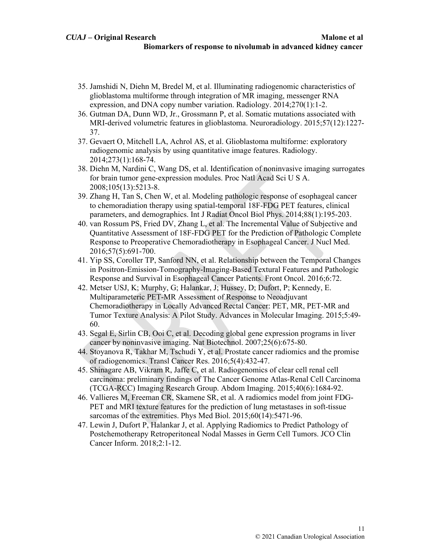- 35. Jamshidi N, Diehn M, Bredel M, et al. Illuminating radiogenomic characteristics of glioblastoma multiforme through integration of MR imaging, messenger RNA expression, and DNA copy number variation. Radiology. 2014;270(1):1-2.
- 36. Gutman DA, Dunn WD, Jr., Grossmann P, et al. Somatic mutations associated with MRI-derived volumetric features in glioblastoma. Neuroradiology. 2015;57(12):1227- 37.
- 37. Gevaert O, Mitchell LA, Achrol AS, et al. Glioblastoma multiforme: exploratory radiogenomic analysis by using quantitative image features. Radiology. 2014;273(1):168-74.
- 38. Diehn M, Nardini C, Wang DS, et al. Identification of noninvasive imaging surrogates for brain tumor gene-expression modules. Proc Natl Acad Sci U S A. 2008;105(13):5213-8.
- 39. Zhang H, Tan S, Chen W, et al. Modeling pathologic response of esophageal cancer to chemoradiation therapy using spatial-temporal 18F-FDG PET features, clinical parameters, and demographics. Int J Radiat Oncol Biol Phys. 2014;88(1):195-203.
- 40. van Rossum PS, Fried DV, Zhang L, et al. The Incremental Value of Subjective and Quantitative Assessment of 18F-FDG PET for the Prediction of Pathologic Complete Response to Preoperative Chemoradiotherapy in Esophageal Cancer. J Nucl Med. 2016;57(5):691-700.
- 41. Yip SS, Coroller TP, Sanford NN, et al. Relationship between the Temporal Changes in Positron-Emission-Tomography-Imaging-Based Textural Features and Pathologic Response and Survival in Esophageal Cancer Patients. Front Oncol. 2016;6:72.
- 42. Metser USJ, K; Murphy, G; Halankar, J; Hussey, D; Dufort, P; Kennedy, E. Multiparameteric PET-MR Assessment of Response to Neoadjuvant Chemoradiotherapy in Locally Advanced Rectal Cancer: PET, MR, PET-MR and Tumor Texture Analysis: A Pilot Study. Advances in Molecular Imaging. 2015;5:49- 60.
- 43. Segal E, Sirlin CB, Ooi C, et al. Decoding global gene expression programs in liver cancer by noninvasive imaging. Nat Biotechnol. 2007;25(6):675-80.
- 44. Stoyanova R, Takhar M, Tschudi Y, et al. Prostate cancer radiomics and the promise of radiogenomics. Transl Cancer Res. 2016;5(4):432-47.
- 45. Shinagare AB, Vikram R, Jaffe C, et al. Radiogenomics of clear cell renal cell carcinoma: preliminary findings of The Cancer Genome Atlas-Renal Cell Carcinoma (TCGA-RCC) Imaging Research Group. Abdom Imaging. 2015;40(6):1684-92.
- 46. Vallieres M, Freeman CR, Skamene SR, et al. A radiomics model from joint FDG-PET and MRI texture features for the prediction of lung metastases in soft-tissue sarcomas of the extremities. Phys Med Biol. 2015;60(14):5471-96.
- 47. Lewin J, Dufort P, Halankar J, et al. Applying Radiomics to Predict Pathology of Postchemotherapy Retroperitoneal Nodal Masses in Germ Cell Tumors. JCO Clin Cancer Inform. 2018;2:1-12.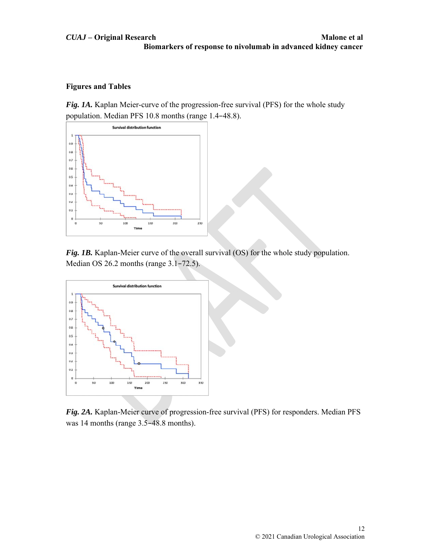# *CUAJ* **– Original Research Malone et al Biomarkers of response to nivolumab in advanced kidney cancer**

# **Figures and Tables**

*Fig. 1A.* Kaplan Meier-curve of the progression-free survival (PFS) for the whole study population. Median PFS 10.8 months (range 1.4–48.8).



*Fig. 1B.* Kaplan-Meier curve of the overall survival (OS) for the whole study population. Median OS 26.2 months (range 3.1–72.5).



*Fig. 2A.* Kaplan-Meier curve of progression-free survival (PFS) for responders. Median PFS was 14 months (range 3.5–48.8 months).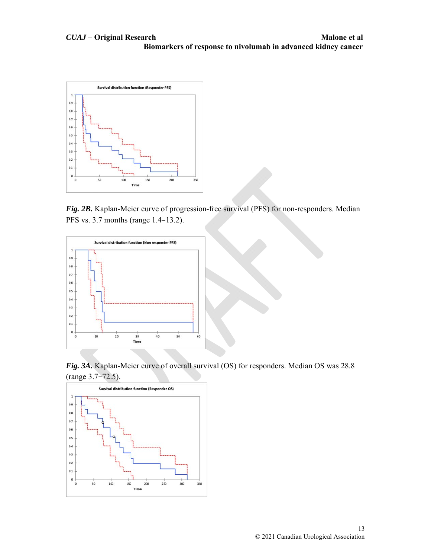

*Fig. 2B.* Kaplan-Meier curve of progression-free survival (PFS) for non-responders. Median PFS vs. 3.7 months (range 1.4–13.2).



*Fig. 3A.* Kaplan-Meier curve of overall survival (OS) for responders. Median OS was 28.8 (range 3.7–72.5).

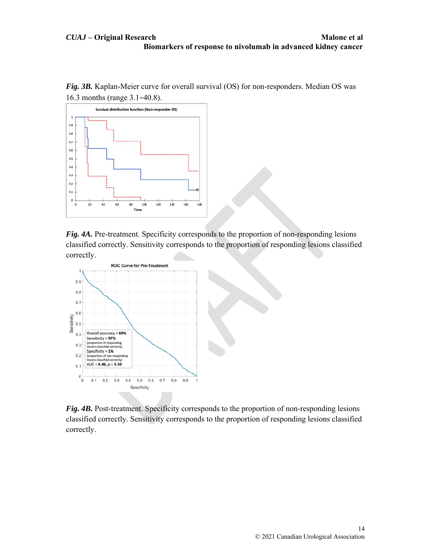*Fig. 3B.* Kaplan-Meier curve for overall survival (OS) for non-responders. Median OS was 16.3 months (range 3.1–40.8).



*Fig. 4A.* Pre-treatment. Specificity corresponds to the proportion of non-responding lesions classified correctly. Sensitivity corresponds to the proportion of responding lesions classified correctly.



*Fig. 4B.* Post-treatment. Specificity corresponds to the proportion of non-responding lesions classified correctly. Sensitivity corresponds to the proportion of responding lesions classified correctly.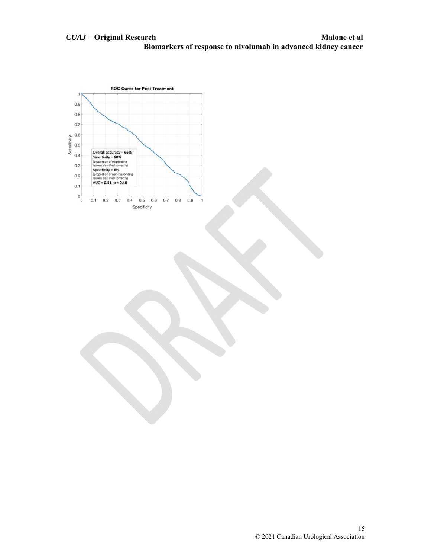